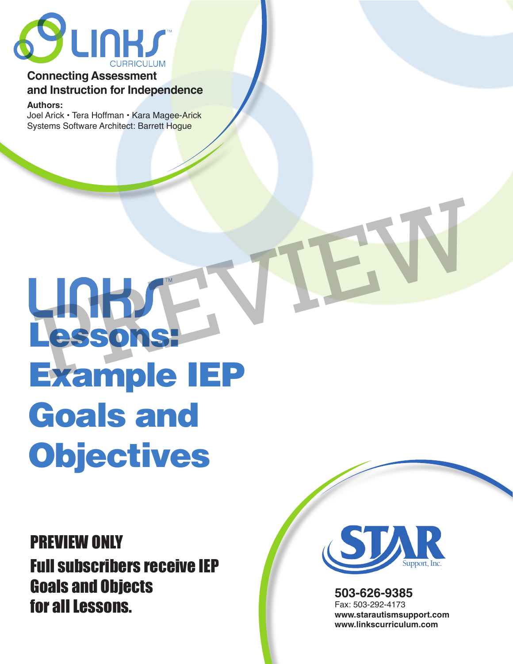

# **Connecting Assessment and Instruction for Independence**

**Authors:** 

Joel Arick • Tera Hoffman • Kara Magee-Arick Systems Software Architect: Barrett Hoque

# LARDAY Example IEP Goals and **Objectives** LIGHAT NIEW

PREVIEW ONLY Full subscribers receive IEP Goals and Objects for all Lessons.



**503-626-9385** Fax: 503-292-4173 **www.starautismsupport.com www.linkscurriculum.com**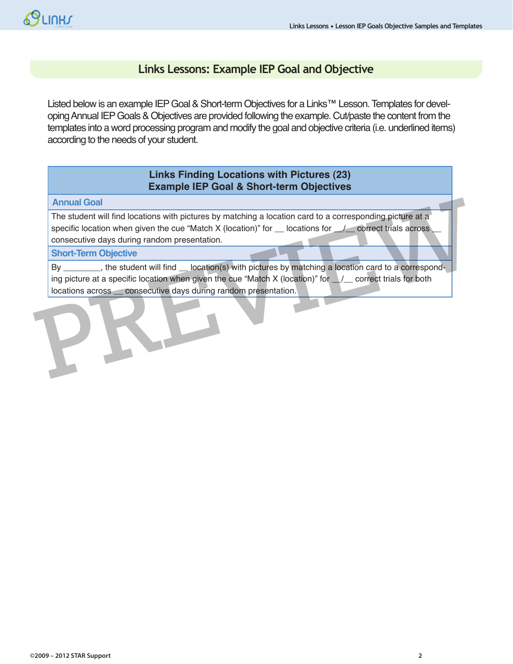# **Links Lessons: Example IEP Goal and Objective**

Listed below is an example IEP Goal & Short-term Objectives for a Links™ Lesson. Templates for developing Annual IEP Goals & Objectives are provided following the example. Cut/paste the content from the templates into a word processing program and modify the goal and objective criteria (i.e. underlined items) according to the needs of your student.

## **Links Finding Locations with Pictures (23) Example IEP Goal & Short-term Objectives**

**Annual Goal**

The student will find locations with pictures by matching a location card to a corresponding picture at a specific location when given the cue "Match X (location)" for  $\_\_\$  locations for  $\_\_\_\_$  correct trials across consecutive days during random presentation.

#### **Short-Term Objective**

By \_\_\_\_\_\_\_\_, the student will find \_\_ location(s) with pictures by matching a location card to a corresponding picture at a specific location when given the cue "Match X (location)" for  $\frac{1}{2}$  correct trials for both locations across \_\_ consecutive days during random presentation. PREVIEW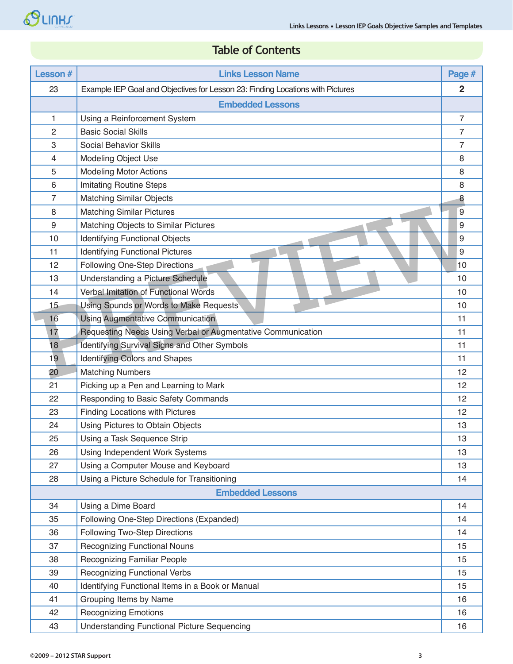# **Table of Contents**

| <b>Lesson#</b> | <b>Links Lesson Name</b>                                                       | Page #         |
|----------------|--------------------------------------------------------------------------------|----------------|
| 23             | Example IEP Goal and Objectives for Lesson 23: Finding Locations with Pictures | $\overline{2}$ |
|                | <b>Embedded Lessons</b>                                                        |                |
| $\mathbf{1}$   | Using a Reinforcement System                                                   | $\overline{7}$ |
| $\overline{2}$ | <b>Basic Social Skills</b>                                                     | 7              |
| 3              | <b>Social Behavior Skills</b>                                                  | 7              |
| $\overline{4}$ | Modeling Object Use                                                            | 8              |
| 5              | <b>Modeling Motor Actions</b>                                                  | 8              |
| 6              | <b>Imitating Routine Steps</b>                                                 | 8              |
| $\overline{7}$ | <b>Matching Similar Objects</b>                                                | 8              |
| 8              | <b>Matching Similar Pictures</b>                                               | 9              |
| 9              | Matching Objects to Similar Pictures                                           | 9              |
| 10             | <b>Identifying Functional Objects</b>                                          | 9              |
| 11             | <b>Identifying Functional Pictures</b>                                         | 9              |
| 12             | Following One-Step Directions                                                  | 10             |
| 13             | Understanding a Picture Schedule                                               | 10             |
| 14             | <b>Verbal Imitation of Functional Words</b>                                    | 10             |
| 15             | Using Sounds or Words to Make Requests                                         | 10             |
| 16             | <b>Using Augmentative Communication</b>                                        | 11             |
| 17             | Requesting Needs Using Verbal or Augmentative Communication                    | 11             |
| 18             | Identifying Survival Signs and Other Symbols                                   | 11             |
| 19             | <b>Identifying Colors and Shapes</b>                                           | 11             |
| 20             | <b>Matching Numbers</b>                                                        | 12             |
| 21             | Picking up a Pen and Learning to Mark                                          | 12             |
| 22             | Responding to Basic Safety Commands                                            | 12             |
| 23             | <b>Finding Locations with Pictures</b>                                         | 12             |
| 24             | Using Pictures to Obtain Objects                                               | 13             |
| 25             | Using a Task Sequence Strip                                                    | 13             |
| 26             | Using Independent Work Systems                                                 | 13             |
| 27             | Using a Computer Mouse and Keyboard                                            | 13             |
| 28             | Using a Picture Schedule for Transitioning                                     | 14             |
|                | <b>Embedded Lessons</b>                                                        |                |
| 34             | Using a Dime Board                                                             | 14             |
| 35             | Following One-Step Directions (Expanded)                                       | 14             |
| 36             | Following Two-Step Directions                                                  | 14             |
| 37             | <b>Recognizing Functional Nouns</b>                                            | 15             |
| 38             | <b>Recognizing Familiar People</b>                                             | 15             |
| 39             | <b>Recognizing Functional Verbs</b>                                            | 15             |
| 40             | Identifying Functional Items in a Book or Manual                               | 15             |
| 41             | Grouping Items by Name                                                         | 16             |
| 42             | <b>Recognizing Emotions</b>                                                    | 16             |
| 43             | <b>Understanding Functional Picture Sequencing</b>                             | 16             |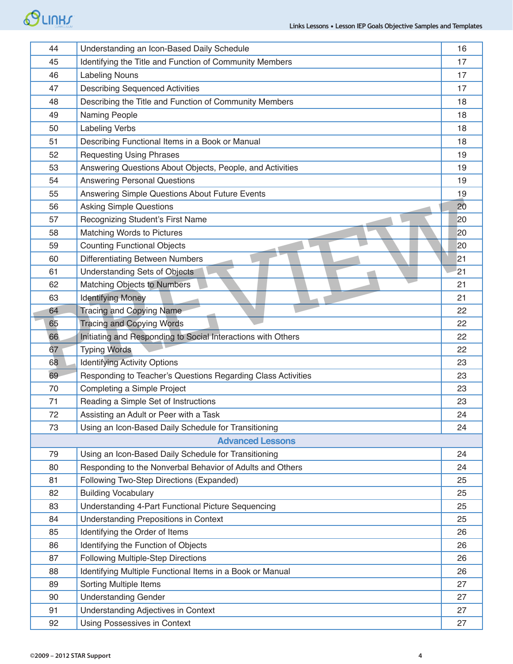# SCIUH

| 44                      | Understanding an Icon-Based Daily Schedule                   | 16 |  |
|-------------------------|--------------------------------------------------------------|----|--|
| 45                      | Identifying the Title and Function of Community Members      | 17 |  |
| 46                      | <b>Labeling Nouns</b>                                        | 17 |  |
| 47                      | <b>Describing Sequenced Activities</b>                       | 17 |  |
| 48                      | Describing the Title and Function of Community Members       | 18 |  |
| 49                      | Naming People                                                | 18 |  |
| 50                      | <b>Labeling Verbs</b>                                        | 18 |  |
| 51                      | Describing Functional Items in a Book or Manual              | 18 |  |
| 52                      | <b>Requesting Using Phrases</b>                              | 19 |  |
| 53                      | Answering Questions About Objects, People, and Activities    | 19 |  |
| 54                      | <b>Answering Personal Questions</b>                          | 19 |  |
| 55                      | Answering Simple Questions About Future Events               | 19 |  |
| 56                      | <b>Asking Simple Questions</b>                               | 20 |  |
| 57                      | Recognizing Student's First Name                             | 20 |  |
| 58                      | Matching Words to Pictures                                   | 20 |  |
| 59                      | <b>Counting Functional Objects</b>                           | 20 |  |
| 60                      | <b>Differentiating Between Numbers</b>                       | 21 |  |
| 61                      | Understanding Sets of Objects                                | 21 |  |
| 62                      | Matching Objects to Numbers                                  | 21 |  |
| 63                      | <b>Identifying Money</b>                                     | 21 |  |
| 64                      | <b>Tracing and Copying Name</b>                              | 22 |  |
| 65                      | <b>Tracing and Copying Words</b>                             | 22 |  |
| 66                      | Initiating and Responding to Social Interactions with Others | 22 |  |
| 67                      | <b>Typing Words</b>                                          | 22 |  |
| 68                      | <b>Identifying Activity Options</b>                          | 23 |  |
| 69                      | Responding to Teacher's Questions Regarding Class Activities | 23 |  |
| 70                      | Completing a Simple Project                                  | 23 |  |
| 71                      | Reading a Simple Set of Instructions                         | 23 |  |
| 72                      | Assisting an Adult or Peer with a Task                       | 24 |  |
| 73                      | Using an Icon-Based Daily Schedule for Transitioning         | 24 |  |
| <b>Advanced Lessons</b> |                                                              |    |  |
| 79                      | Using an Icon-Based Daily Schedule for Transitioning         | 24 |  |
| 80                      | Responding to the Nonverbal Behavior of Adults and Others    | 24 |  |
| 81                      | Following Two-Step Directions (Expanded)                     | 25 |  |
| 82                      | <b>Building Vocabulary</b>                                   | 25 |  |
| 83                      | Understanding 4-Part Functional Picture Sequencing           | 25 |  |
| 84                      | <b>Understanding Prepositions in Context</b>                 | 25 |  |
| 85                      | Identifying the Order of Items                               | 26 |  |
| 86                      | Identifying the Function of Objects                          | 26 |  |
| 87                      | Following Multiple-Step Directions                           | 26 |  |
| 88                      | Identifying Multiple Functional Items in a Book or Manual    | 26 |  |
| 89                      | Sorting Multiple Items                                       | 27 |  |
| 90                      | <b>Understanding Gender</b>                                  | 27 |  |
| 91                      | Understanding Adjectives in Context                          | 27 |  |
| 92                      | Using Possessives in Context                                 | 27 |  |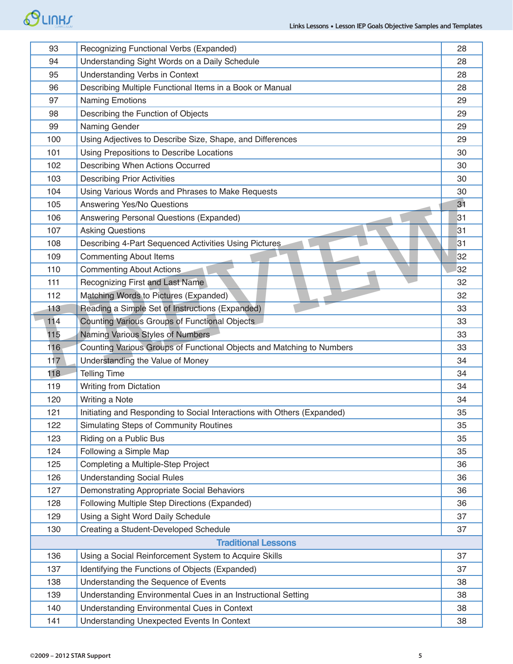# SLINHS

| 93  | Recognizing Functional Verbs (Expanded)                                 | 28 |
|-----|-------------------------------------------------------------------------|----|
| 94  | Understanding Sight Words on a Daily Schedule                           | 28 |
| 95  | <b>Understanding Verbs in Context</b>                                   | 28 |
| 96  | Describing Multiple Functional Items in a Book or Manual                | 28 |
| 97  | <b>Naming Emotions</b>                                                  | 29 |
| 98  | Describing the Function of Objects                                      | 29 |
| 99  | Naming Gender                                                           | 29 |
| 100 | Using Adjectives to Describe Size, Shape, and Differences               | 29 |
| 101 | Using Prepositions to Describe Locations                                | 30 |
| 102 | Describing When Actions Occurred                                        | 30 |
| 103 | <b>Describing Prior Activities</b>                                      | 30 |
| 104 | Using Various Words and Phrases to Make Requests                        | 30 |
| 105 | Answering Yes/No Questions                                              | 31 |
| 106 | Answering Personal Questions (Expanded)                                 | 31 |
| 107 | <b>Asking Questions</b>                                                 | 31 |
| 108 | Describing 4-Part Sequenced Activities Using Pictures                   | 31 |
| 109 | <b>Commenting About Items</b>                                           | 32 |
| 110 | <b>Commenting About Actions</b>                                         | 32 |
| 111 | Recognizing First and Last Name                                         | 32 |
| 112 | Matching Words to Pictures (Expanded)                                   | 32 |
| 113 | Reading a Simple Set of Instructions (Expanded)                         | 33 |
| 114 | Counting Various Groups of Functional Objects                           | 33 |
| 115 | Naming Various Styles of Numbers                                        | 33 |
| 116 | Counting Various Groups of Functional Objects and Matching to Numbers   | 33 |
| 117 | Understanding the Value of Money                                        | 34 |
| 118 | <b>Telling Time</b>                                                     | 34 |
| 119 | <b>Writing from Dictation</b>                                           | 34 |
| 120 | Writing a Note                                                          | 34 |
| 121 | Initiating and Responding to Social Interactions with Others (Expanded) | 35 |
| 122 | <b>Simulating Steps of Community Routines</b>                           | 35 |
| 123 | Riding on a Public Bus                                                  | 35 |
| 124 | Following a Simple Map                                                  | 35 |
| 125 | Completing a Multiple-Step Project                                      | 36 |
| 126 | <b>Understanding Social Rules</b>                                       | 36 |
| 127 | Demonstrating Appropriate Social Behaviors                              | 36 |
| 128 | Following Multiple Step Directions (Expanded)                           | 36 |
| 129 | Using a Sight Word Daily Schedule                                       | 37 |
| 130 | Creating a Student-Developed Schedule                                   | 37 |
|     | <b>Traditional Lessons</b>                                              |    |
| 136 | Using a Social Reinforcement System to Acquire Skills                   | 37 |
| 137 | Identifying the Functions of Objects (Expanded)                         | 37 |
| 138 | Understanding the Sequence of Events                                    | 38 |
| 139 | Understanding Environmental Cues in an Instructional Setting            | 38 |
| 140 | Understanding Environmental Cues in Context                             | 38 |
| 141 | <b>Understanding Unexpected Events In Context</b>                       | 38 |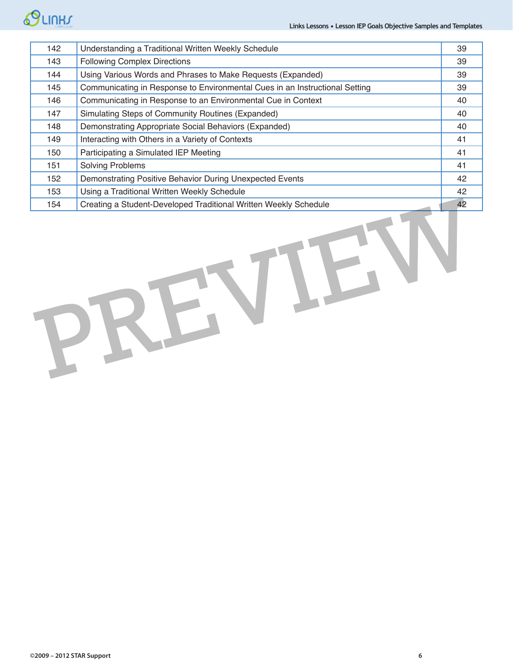# SLINH

| 142 | Understanding a Traditional Written Weekly Schedule                         | 39 |  |  |  |
|-----|-----------------------------------------------------------------------------|----|--|--|--|
| 143 | <b>Following Complex Directions</b>                                         | 39 |  |  |  |
| 144 | Using Various Words and Phrases to Make Requests (Expanded)                 | 39 |  |  |  |
| 145 | Communicating in Response to Environmental Cues in an Instructional Setting | 39 |  |  |  |
| 146 | Communicating in Response to an Environmental Cue in Context                | 40 |  |  |  |
| 147 | Simulating Steps of Community Routines (Expanded)                           | 40 |  |  |  |
| 148 | Demonstrating Appropriate Social Behaviors (Expanded)                       | 40 |  |  |  |
| 149 | Interacting with Others in a Variety of Contexts                            | 41 |  |  |  |
| 150 | Participating a Simulated IEP Meeting                                       | 41 |  |  |  |
| 151 | <b>Solving Problems</b>                                                     | 41 |  |  |  |
| 152 | Demonstrating Positive Behavior During Unexpected Events                    | 42 |  |  |  |
| 153 | Using a Traditional Written Weekly Schedule                                 | 42 |  |  |  |
| 154 | Creating a Student-Developed Traditional Written Weekly Schedule            | 42 |  |  |  |
|     |                                                                             |    |  |  |  |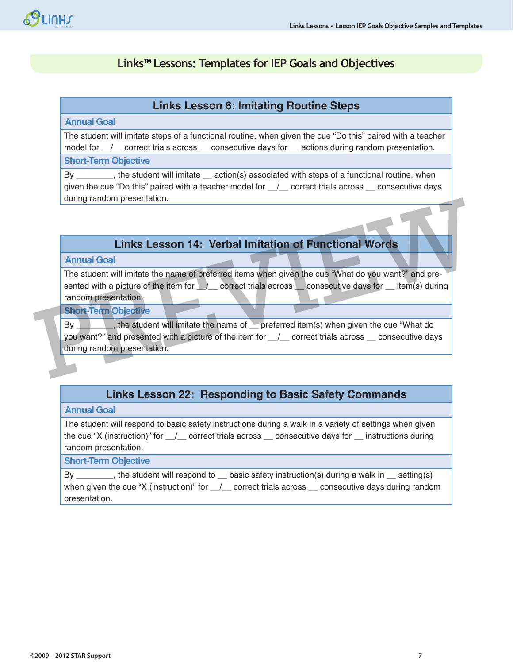# **Links™ Lessons: Templates for IEP Goals and Objectives**

#### **Links Lesson 6: Imitating Routine Steps**

#### **Annual Goal**

The student will imitate steps of a functional routine, when given the cue "Do this" paired with a teacher model for  $\angle$  correct trials across  $\angle$  consecutive days for  $\angle$  actions during random presentation.

#### **Short-Term Objective**

By \_\_\_\_\_\_\_\_, the student will imitate \_\_ action(s) associated with steps of a functional routine, when given the cue "Do this" paired with a teacher model for  $\_\_\_\_$  correct trials across  $\_\_$  consecutive days during random presentation.

# **Links Lesson 14: Verbal Imitation of Functional Words**

#### **Annual Goal**

The student will imitate the name of preferred items when given the cue "What do you want?" and presented with a picture of the item for  $\angle$ / correct trials across consecutive days for item(s) during random presentation. Links Lesson 14: Verbal Imitation of Functional Words<br>
The student will imitate the name of preferred items when given the cue "What do you want?" and pre-<br>
sented with a picture of the item for <u>Concect trials</u> across con

#### **Short-Term Objective**

By the student will imitate the name of preferred item(s) when given the cue "What do you want?" and presented with a picture of the item for  $_$  \_/\_\_ correct trials across \_\_ consecutive days during random presentation.

## **Links Lesson 22: Responding to Basic Safety Commands**

#### **Annual Goal**

The student will respond to basic safety instructions during a walk in a variety of settings when given the cue "X (instruction)" for  $\ell$  correct trials across consecutive days for \_\_ instructions during random presentation.

#### **Short-Term Objective**

By \_\_\_\_\_\_\_, the student will respond to \_\_ basic safety instruction(s) during a walk in \_\_ setting(s) when given the cue "X (instruction)" for  $\angle$  correct trials across  $\angle$  consecutive days during random presentation.